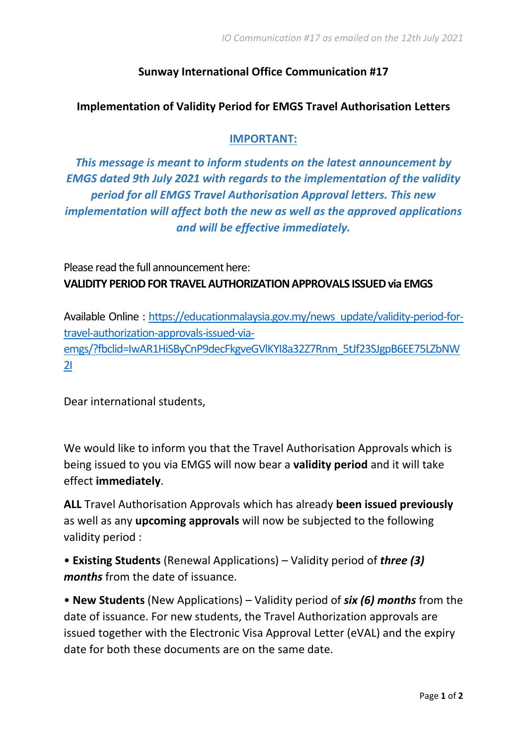## **Sunway International Office Communication #17**

## **Implementation of Validity Period for EMGS Travel Authorisation Letters**

## **IMPORTANT:**

*This message is meant to inform students on the latest announcement by EMGS dated 9th July 2021 with regards to the implementation of the validity period for all EMGS Travel Authorisation Approval letters. This new implementation will affect both the new as well as the approved applications and will be effective immediately.*

Please read the full announcement here: **VALIDITY PERIOD FOR TRAVEL AUTHORIZATION APPROVALS ISSUED via EMGS**

Available Online : [https://educationmalaysia.gov.my/news\\_update/validity-period-for](https://educationmalaysia.gov.my/news_update/validity-period-for-travel-authorization-approvals-issued-via-emgs/?fbclid=IwAR1HiSByCnP9decFkgveGVlKYI8a32Z7Rnm_5tJf23SJgpB6EE75LZbNW2I)[travel-authorization-approvals-issued-via](https://educationmalaysia.gov.my/news_update/validity-period-for-travel-authorization-approvals-issued-via-emgs/?fbclid=IwAR1HiSByCnP9decFkgveGVlKYI8a32Z7Rnm_5tJf23SJgpB6EE75LZbNW2I)[emgs/?fbclid=IwAR1HiSByCnP9decFkgveGVlKYI8a32Z7Rnm\\_5tJf23SJgpB6EE75LZbNW](https://educationmalaysia.gov.my/news_update/validity-period-for-travel-authorization-approvals-issued-via-emgs/?fbclid=IwAR1HiSByCnP9decFkgveGVlKYI8a32Z7Rnm_5tJf23SJgpB6EE75LZbNW2I) [2I](https://educationmalaysia.gov.my/news_update/validity-period-for-travel-authorization-approvals-issued-via-emgs/?fbclid=IwAR1HiSByCnP9decFkgveGVlKYI8a32Z7Rnm_5tJf23SJgpB6EE75LZbNW2I)

Dear international students,

We would like to inform you that the Travel Authorisation Approvals which is being issued to you via EMGS will now bear a **validity period** and it will take effect **immediately**.

**ALL** Travel Authorisation Approvals which has already **been issued previously** as well as any **upcoming approvals** will now be subjected to the following validity period :

• **Existing Students** (Renewal Applications) – Validity period of *three (3) months* from the date of issuance.

• **New Students** (New Applications) – Validity period of *six (6) months* from the date of issuance. For new students, the Travel Authorization approvals are issued together with the Electronic Visa Approval Letter (eVAL) and the expiry date for both these documents are on the same date.